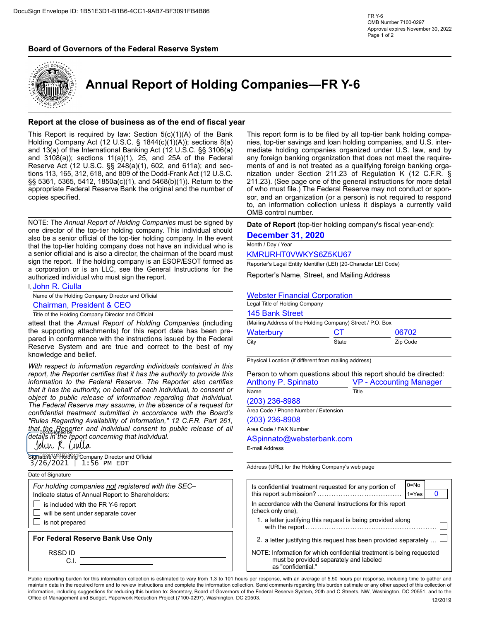## Board of Governors of the Federal Reserve System



Annual Report of Holding Companies—FR Y-6

## Report at the close of business as of the end of fiscal year

Sign Envelope ID: 1851E3D1-8186-4CC1-9AB7-BF3091FB4B86<br>
This Report of Governors of the Federal Reserve System<br>
Annual Report of Holding Companies—FR Y-6<br>
Annual Report of Holding Companies —FR Y-6<br>
This Report at the clos Sign Envelope ID: 18515301-8186-4CC1-9A87-8F3091F84B86<br>
Maprovide express to a company of the Federal Reserve System<br>
Maprovide experience and companies - FR Y-6<br>
Maprovide experiments in a section of the companies - FR Y-Sign Envelope ID: 1851E3D1-B186-4CC1-9AB7-BF3091FB4B86<br> **Board of Governors of the Federal Reserve System**<br> **Board of Governors of the Federal Reserve System**<br> **Annual Report of Holding Companies—FR Y-6**<br> **Annual Report of** copies specified. **Report at the close of business as of the end of fiscal year<br>
This report form is to be filed by all top-tier bank holding<br>
Holding Company And (12) U.S.C. 63 104(a)(1)(A) or the Bank<br>
Holding Company And (12) U.S.C. 63 Example 31.4 Example 11.4 Example 11.4 Example 11.4 Example 11.4 Example 12.4 Example 12.4 Example 12.4 Example 12.4 Example 12.4 Example 12.4 Example 12.4 Example 12.4 Example 12.4 Example 12 Experience the conservation of the conservation** of the state of the state of the state of the state of the state of the state of the state of the state of the state of the state of the state of the state of the state of

authorized individual who must sign the report. Reserve Act (12 U.S.C. §§ -248(a)(i1), 602, and 611s), and 541s) in the sector method of the state and painting foreign the state in the state of the painting foreign the matter of the painting foreign the state in the st

**I, John R. Ciulla** 

Name of the Holding Company Director and Official

tions 113, 165, 312, 618, and 809 of the Double-Frank Act (72 U.S.C. nization under Seitch: 21:23 (See page one of the peneral instructions for more detail<br>signs 36, 536, 5412, 1850a(c)/t), and 54680y(1)). Return to the 2 Secondiction to the Federal Histonical Secondiction to the actual Secondiction to the general matrix and the secondiction for more details and the properties specified.<br>
Notice: The Annual Report of Holding Companies must sphorinal Federal Reserve Bank the original and the number of of which must file, The Federal Reserve may not conduct or spontarion consent or a information consent to provide the authorities of each information consent or copies specified.<br>
to, and information collection these is to early a solid of the public companies must be signed by<br>
to an information collection units in displays a currently valid<br>
NOTE: The Annual Report of Holding co NOTE: The Annual Report of Holding Companies must be signed by  $\frac{1}{2}$  OMB control number.<br>
The Federal Reserve may assume that the diversion of a recent of a request for a request for a request of a request of a reques NOTE: The Annual Report of Holding Companies must be signed by<br>
confidence in the top-simulation confidential should should be **Date-on-There in Accordance and the state of the Solid Report (to-simulation**)<br>
and the board NOTE: The Amuzai Regard of Holding Companies must be signed by the event in the event in the sole and one and one and one and one and one and one and one and one and one and one and one and one and one and one and one and one interior of the top-lies noise and the consent to the Determber 31, 2022 (2022) (1981) and the release of all the Determber 31, 2022 (1982) and the top-lies noise of the Reporter and Individual consent to the Report (t that the Reporter and individual consent to public release of all<br>details in the report concerning that individual.

| Sīgnatt͡t͡a <sup>1</sup> of fिoldfrfd] Company Director and Official |  |  |
|----------------------------------------------------------------------|--|--|
| $3/26/2021$   1:56 PM EDT                                            |  |  |

## Date of Signature

## For Federal Reserve Bank Use Only

Sign Envelope ID: 1851E3D1-B186-4CC1-9AB7-BF3091FB4B86<br>
And The Value of The Society of The Federal Reserve System<br>
Annual Report of Holding Companies—FR Y-6<br>
Annual Report at the close of business as of the end of fiscal Sign Envelope ID: 1851E3D1-8186-4CC1-9AB7-BF3091FB4B86<br>
Maps with the covernors of the Federal Reserve System<br>
Maps of discussions and the Covernors of the Federal Reserve System<br>
Maps in the correct of Holding Companies Sign Envelope ID: 1851E3D1-8188-4CC1-9A87-8F3091F84886<br>
The sumset of the Schemer of the Schemer of the Schemer of the Schemer of the Schemer of the Schemer of the Schemer of the Schemer of the Schemer of the Schemer of th Sign Envelope ID: 1851E3D1-8186-4CC1-9A67-8F3091F84886<br>
Some Number 100-0287<br>
Some Number of Sovernors of the Federal Reserve System<br>
Some Associates as a filter of Holding Companies—FR Y-6<br>
Report at the close of busines Sign Envelope ID: 1851E3D1-8188-4CC1-9AB7-BF3091FB4B86<br>
and of Governors of the Federal Reserve System<br>
Annual Report of Holding Companies—FR Y-6<br>
Annual Report of Holding Companies—FR Y-6<br>
Annual Report is required by law This report form is to be filed by all top-tier bank holding compares<br>This report form is to be filed by all top-tier bank holding compa-<br>This report form is to be filed by all top-tier bank holding compa-<br>mediate holding FR Y-6<br>
OMB Number 7100-0297<br>
Approval expires November 30, 2022<br>
Page 1 of 2<br>
Page 1 of 2<br>
This report form is to be filed by all top-tier bank holding companies,<br>
This report form is to be filed by all top-tier bank hold FR Y-6<br>
MB Number 7100-0297<br>
Approval expires November 30, 2022<br>
Page 1 of 2<br>
Page 1 of 2<br>
Mage 1 of 2<br>
This report form is to be filed by all top-tier bank holding compa-<br>
mediate holding companies organized under U.S. la FR Y-6<br>
COMB Number 7100-0297<br>
Approval expires November 30, 2022<br>
Page 1 of 2<br>
Page 1 of 2<br>
COMP<br>
This report form is to be filed by all top-tier bank holding compa-<br>
mediate holding companies organization that does not m  $\begin{array}{ll} \text{FR Y-6} & \text{OMB Number 7100-0297} \\ \text{ANDM University Ropovale-sphere.} \\ \text{Appovale-sphere of 30, 2022} \\ \text{Page 1 of 2} & \text{Page 3} \\ \end{array}$ FR Y-6<br>
OMB Number 7100-0297<br>
Approval expires November 30, 2022<br>
Page 1 of 2<br>
Page 1 of 2<br>
Page 1 of 2<br>
Page 1 of 2<br>
This report form is to be filed by all top-tier bank holding companies,<br>
and U.S. inter-<br>
mediate holdin  $\begin{array}{l} \text{FR Y-6} \text{OMB Number 7100-0297} \text{AND Number 30, 2022} \text{Page 1 of 2} \text{Approval expires November 30, 2022} \text{Page 1 of 2} \text{Approulators 30, 2022} \text{Page 1 of 2} \text{Page 1 of 2} \text{Page 1 of 2} \text{Type 2} \text{Exp 2} \text{Exp 2} \text{Exp 2} \text{Exp 2} \text{Exp 2} \text{Exp 2} \text{Exp 2} \text{Exp 2} \text{Exp 2} \text{Exp 2} \text{Exp 2} \text{Exp$ FR Y-6<br>
OMB Number 7100-0297<br>
Approval expires November 30, 2022<br>
Page 1 of 2<br>
Page 1 of 2<br> **Companies, top-tier s** and loan holding companies, and U.S. inter-<br>
mediate holding companies organized under U.S. Iaw, and by<br>
m FR Y-6<br>
OMB Number 7100-0297<br>
Approval expires November 30, 2022<br>
Page 1 of 2<br> **Companies, top-tier savings and loan holding companies, and U.S.** inter-<br>
mediate holding companies organized under U.S. law, and by<br>
any fore FR Y-6<br>
CMB Number 7100-0297<br>
Approval expires November 30, 2022<br>
Page 1 of 2<br>
Page 1 of 2<br> **COMPODINIES —FR Y-6**<br>
This report form is to be filed by all top-tier bank holding compar-<br>
mediate holding companies organized u OMB control number. Board of Governors of the Federal Reserve System<br>
Notative the Annual Report of Holding Companies — FR Y-6<br>
Normal Report at the close of business as of the end of fiscal year<br>
Holding Companies — FR Y-6<br>
Neport at the cl **Board of Governors of the Federal Reserve System**<br> **Examples to the control of the State of the State of the State of the State of the State of the State of the State of the State of the State of the State of the State o** Board of Governors of the Federal Reserve System<br>
From the companies — FR Y-6<br>
Report at the close of business as of the ond of fiscal year<br>
This report is find the close of business as of the ond of fiscal year<br>
This rep **Board of Governors of the Federal Reserve System**<br> **Report at the close of business as of the end of fiscal year**<br> **Report at the close of business as of the end of fiscal year**<br>
Holding Company is a first required by all aboard of the close of business as of the end of fiscal year.<br>This Report is required by law. Section 5(c)(1)(A) of the Bank<br>This report form is to be filed by all top-tier bank holding compare-<br>This Report is required by **Example 2018 Annual Report of Holding Companies—FR Y-6**<br>
Neport at the close of business as of the end of fiscal year<br>
The Report at the close of business as of the end of fiscal year<br>
The Holding Company Act (12 U.S.C **Example 18: Annual Report of Holding Companies—FR Y-6**<br> **Report at the close of business as of the end of fiscal year**<br> **Report of the General Instructions for the General Instructions for the General Instructions for** This Report of Houston Science of the support of the support of the Barnet Control in the Support of the support of the support form is to be filled by all too the Barnet and Studies companies of the filled material of th nia response to law. Second Science of the search of the instructions in the search of the instructions in the instructions in the instructions in the instructions in the instructions in the instructions in the instruction reserve to the top is the station of the correct to the best of my detection and non-modeling and the station of the station of the station of the station of the station of the station of the station of the station of the This report form is to be filed by all top-tier bank holding companies, top-tier savings and loan holding companies, and U.S. inter-<br>mediate holding companies organized under U.S. law, and by<br>may foreign banking organizat This report form is to be filed by all top-tier bank holding companies, top-tier savings and loan holding companies, and U.S. intermediate holding companies organization under U.S. law, and by any foreign banking organiza This report form is to be filed by all top-tier bank holding companies<br>nies, top-tier savings and loan holding companies, and U.S. inter-<br>mediate holding companies organized under U.S. law, and by<br>amy foreign banking orga This report form is to be filed by all top-tier bank holding companies, top-tier savings and loan holding companies, and U.S. intermediate holding companies organized under U.S. law, and by any foreign banking organization This report form is to be filed by all top-tier bank holding compa-<br>nies, top-tier savings and loan holding companies, and U.S. inter-<br>mediate holding companies organized under U.S. law, and by<br>aments of and is not treated

## December 31, 2020

| Legal Title of Holding Company                             |       |          |  |
|------------------------------------------------------------|-------|----------|--|
| 145 Bank Street                                            |       |          |  |
| (Mailing Address of the Holding Company) Street / P.O. Box |       |          |  |
| Waterbury                                                  | CТ    | 06702    |  |
| City                                                       | State | Zip Code |  |
|                                                            |       |          |  |

| 211.23). (See page one of the general instructions for more detail<br>of who must file.) The Federal Reserve may not conduct or spon-<br>sor, and an organization (or a person) is not required to respond |       |                                   |  |  |
|------------------------------------------------------------------------------------------------------------------------------------------------------------------------------------------------------------|-------|-----------------------------------|--|--|
| to, an information collection unless it displays a currently valid<br>OMB control number.                                                                                                                  |       |                                   |  |  |
| Date of Report (top-tier holding company's fiscal year-end):                                                                                                                                               |       |                                   |  |  |
| <b>December 31, 2020</b>                                                                                                                                                                                   |       |                                   |  |  |
| Month / Day / Year                                                                                                                                                                                         |       |                                   |  |  |
| KMRURHT0VWKYS6Z5KU67                                                                                                                                                                                       |       |                                   |  |  |
| Reporter's Legal Entity Identifier (LEI) (20-Character LEI Code)                                                                                                                                           |       |                                   |  |  |
| Reporter's Name, Street, and Mailing Address                                                                                                                                                               |       |                                   |  |  |
| <b>Webster Financial Corporation</b><br>Legal Title of Holding Company                                                                                                                                     |       |                                   |  |  |
| <b>145 Bank Street</b>                                                                                                                                                                                     |       |                                   |  |  |
| (Mailing Address of the Holding Company) Street / P.O. Box                                                                                                                                                 |       |                                   |  |  |
| СT<br>Waterbury                                                                                                                                                                                            |       | 06702                             |  |  |
| City<br>State                                                                                                                                                                                              |       | Zip Code                          |  |  |
| Physical Location (if different from mailing address)<br>Person to whom questions about this report should be directed:<br><b>Anthony P. Spinnato</b><br>Name                                              | Title | <b>VP - Accounting Manager</b>    |  |  |
| (203) 236-8988                                                                                                                                                                                             |       |                                   |  |  |
| Area Code / Phone Number / Extension                                                                                                                                                                       |       |                                   |  |  |
| (203) 236-8908                                                                                                                                                                                             |       |                                   |  |  |
| Area Code / FAX Number                                                                                                                                                                                     |       |                                   |  |  |
| ASpinnato@websterbank.com                                                                                                                                                                                  |       |                                   |  |  |
| E-mail Address                                                                                                                                                                                             |       |                                   |  |  |
| Address (URL) for the Holding Company's web page                                                                                                                                                           |       |                                   |  |  |
| Is confidential treatment requested for any portion of                                                                                                                                                     |       | $0 = No$<br>$\bf{0}$<br>$1 = Yes$ |  |  |
| In accordance with the General Instructions for this report<br>(check only one),                                                                                                                           |       |                                   |  |  |
| 1. a letter justifying this request is being provided along                                                                                                                                                |       |                                   |  |  |
| 2. a letter justifying this request has been provided separately                                                                                                                                           |       |                                   |  |  |

| <b>Chairman, President &amp; CEO</b>                                                                                                                   |                                                                                  |                                                             |                                                                          |
|--------------------------------------------------------------------------------------------------------------------------------------------------------|----------------------------------------------------------------------------------|-------------------------------------------------------------|--------------------------------------------------------------------------|
|                                                                                                                                                        | Legal Title of Holding Company                                                   |                                                             |                                                                          |
| Title of the Holding Company Director and Official                                                                                                     | 145 Bank Street                                                                  |                                                             |                                                                          |
| attest that the Annual Report of Holding Companies (including                                                                                          | (Mailing Address of the Holding Company) Street / P.O. Box                       |                                                             |                                                                          |
| the supporting attachments) for this report date has been pre-                                                                                         | Waterbury                                                                        | <b>CT</b>                                                   | 06702                                                                    |
| pared in conformance with the instructions issued by the Federal<br>Reserve System and are true and correct to the best of my<br>knowledge and belief. | City                                                                             | State                                                       | Zip Code                                                                 |
| With respect to information regarding individuals contained in this                                                                                    | Physical Location (if different from mailing address)                            |                                                             |                                                                          |
| report, the Reporter certifies that it has the authority to provide this                                                                               |                                                                                  |                                                             | Person to whom questions about this report should be directed:           |
| information to the Federal Reserve. The Reporter also certifies                                                                                        | Anthony P. Spinnato                                                              |                                                             | <b>VP</b> - Accounting Manager                                           |
| that it has the authority, on behalf of each individual, to consent or                                                                                 | Name                                                                             | Title                                                       |                                                                          |
| object to public release of information regarding that individual.<br>The Federal Reserve may assume, in the absence of a request for                  | (203) 236-8988                                                                   |                                                             |                                                                          |
| confidential treatment submitted in accordance with the Board's                                                                                        | Area Code / Phone Number / Extension                                             |                                                             |                                                                          |
| "Rules Regarding Availability of Information," 12 C.F.R. Part 261,                                                                                     | $(203)$ 236-8908                                                                 |                                                             |                                                                          |
| that <sub>p</sub> the Reporter and individual consent to public release of all                                                                         | Area Code / FAX Number                                                           |                                                             |                                                                          |
| details in the report concerning that individual. $\dot{}$                                                                                             | ASpinnato@websterbank.com                                                        |                                                             |                                                                          |
| Jolur R. Ciulla                                                                                                                                        | E-mail Address                                                                   |                                                             |                                                                          |
| Signattife <sup>1</sup> of Holding Company Director and Official<br>$3/26/2021$   1:56 PM EDT                                                          |                                                                                  |                                                             |                                                                          |
|                                                                                                                                                        | Address (URL) for the Holding Company's web page                                 |                                                             |                                                                          |
| Date of Signature                                                                                                                                      |                                                                                  |                                                             |                                                                          |
| For holding companies not registered with the SEC-<br>Indicate status of Annual Report to Shareholders:                                                | Is confidential treatment requested for any portion of                           |                                                             | $0 = No$<br>$\mathbf{0}$<br>$ 1=Yes $                                    |
| $\Box$ is included with the FR Y-6 report                                                                                                              | In accordance with the General Instructions for this report<br>(check only one). |                                                             |                                                                          |
| $\Box$ will be sent under separate cover<br>$\Box$ is not prepared                                                                                     |                                                                                  | 1. a letter justifying this request is being provided along |                                                                          |
| For Federal Reserve Bank Use Only                                                                                                                      |                                                                                  |                                                             | 2. a letter justifying this request has been provided separately $\dots$ |
| RSSD ID<br>C.I.                                                                                                                                        | as "confidential."                                                               | must be provided separately and labeled                     | NOTE: Information for which confidential treatment is being requested    |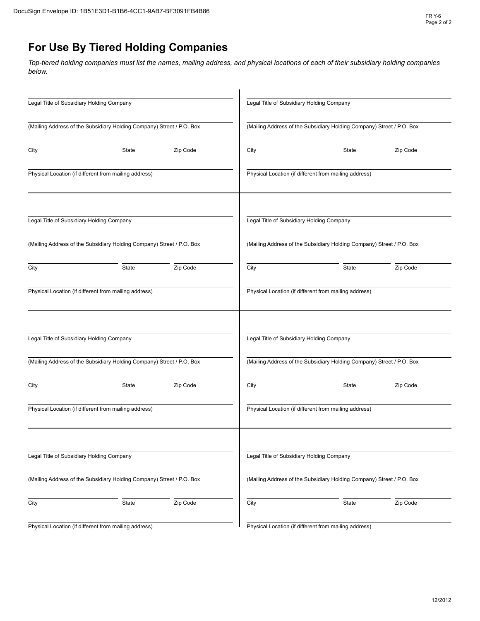# For Use By Tiered Holding Companies

| Sign Envelope ID: 1B51E3D1-B1B6-4CC1-9AB7-BF3091FB4B86                                                                                            |                                                                       |       | <b>FR Y-6</b><br>Page 2 of 2 |
|---------------------------------------------------------------------------------------------------------------------------------------------------|-----------------------------------------------------------------------|-------|------------------------------|
| For Use By Tiered Holding Companies                                                                                                               |                                                                       |       |                              |
| Top-tiered holding companies must list the names, mailing address, and physical locations of each of their subsidiary holding companies<br>below. |                                                                       |       |                              |
| Legal Title of Subsidiary Holding Company                                                                                                         | Legal Title of Subsidiary Holding Company                             |       |                              |
| (Mailing Address of the Subsidiary Holding Company) Street / P.O. Box                                                                             | (Mailing Address of the Subsidiary Holding Company) Street / P.O. Box |       |                              |
| Zip Code<br>City<br>State                                                                                                                         | City                                                                  | State | Zip Code                     |
| Physical Location (if different from mailing address)                                                                                             | Physical Location (if different from mailing address)                 |       |                              |
| Legal Title of Subsidiary Holding Company                                                                                                         | Legal Title of Subsidiary Holding Company                             |       |                              |
| (Mailing Address of the Subsidiary Holding Company) Street / P.O. Box                                                                             | (Mailing Address of the Subsidiary Holding Company) Street / P.O. Box |       |                              |
| Zip Code<br>City<br>State                                                                                                                         | City                                                                  | State | Zip Code                     |
| Physical Location (if different from mailing address)                                                                                             | Physical Location (if different from mailing address)                 |       |                              |
| Legal Title of Subsidiary Holding Company                                                                                                         | Legal Title of Subsidiary Holding Company                             |       |                              |
| (Mailing Address of the Subsidiary Holding Company) Street / P.O. Box                                                                             | (Mailing Address of the Subsidiary Holding Company) Street / P.O. Box |       |                              |
| Zip Code<br>City<br>State                                                                                                                         | City                                                                  | State | Zip Code                     |
| Physical Location (if different from mailing address)                                                                                             | Physical Location (if different from mailing address)                 |       |                              |
| Legal Title of Subsidiary Holding Company                                                                                                         | Legal Title of Subsidiary Holding Company                             |       |                              |
| (Mailing Address of the Subsidiary Holding Company) Street / P.O. Box                                                                             | (Mailing Address of the Subsidiary Holding Company) Street / P.O. Box |       |                              |
| Zip Code<br>City<br>State                                                                                                                         | City                                                                  | State | Zip Code                     |
| Physical Location (if different from mailing address)                                                                                             | Physical Location (if different from mailing address)                 |       |                              |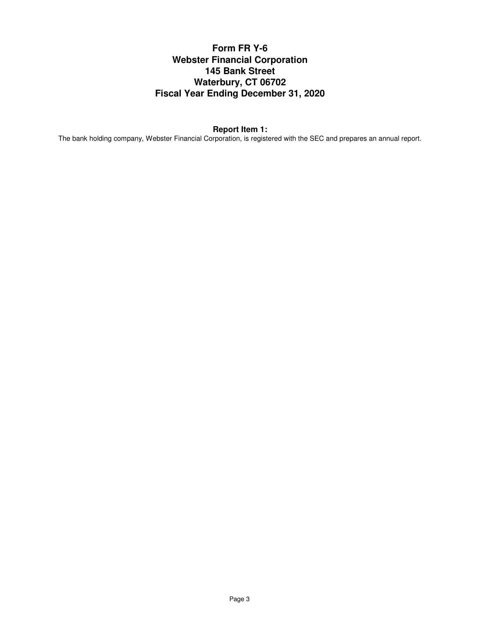# **Form FR Y-6 Webster Financial Corporation 145 Bank Street Waterbury, CT 06702 Fiscal Year Ending December 31, 2020**

## **Report Item 1:**

The bank holding company, Webster Financial Corporation, is registered with the SEC and prepares an annual report.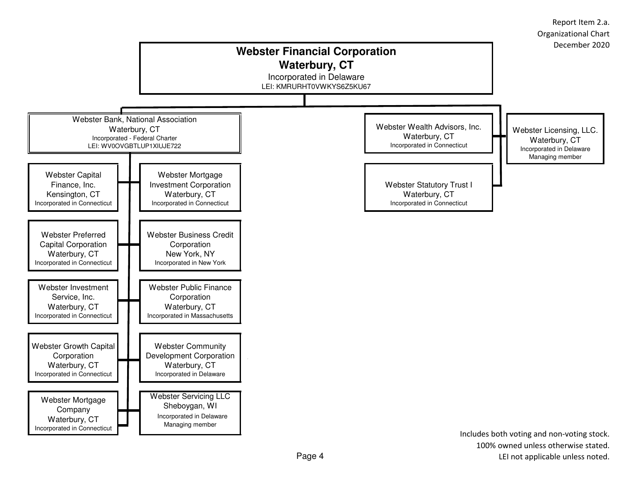

100% owned unless otherwise stated.LEI not applicable unless noted.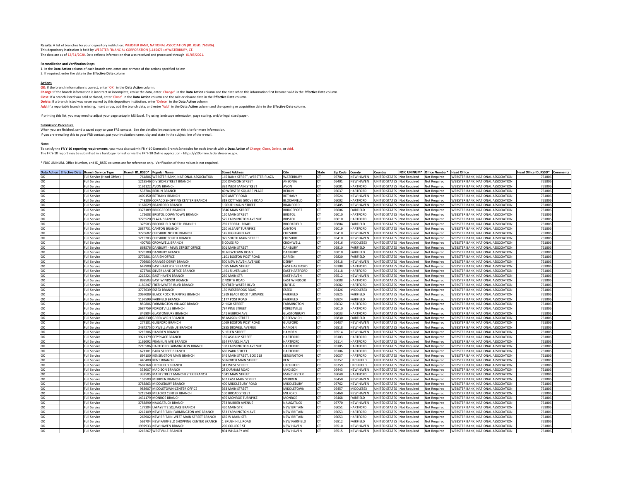**Results:** A list of branches for your depository institution: WEBSTER BANK, NATIONAL ASSOCIATION (ID\_RSSD: 761806). This depository institution is held by WEBSTER FINANCIAL CORPORATION (1145476) of WATERBURY, CT. The data are as of 12/31/2020. Data reflects information that was received and processed through 01/05/2021.

## **Reconciliation and Verification Steps**

1. In the **Data Action** column of each branch row, enter one or more of the actions specified below 2. If required, enter the date in the **Effective Date** column

## **Actions**

**OK:** If the branch information is correct, enter 'OK' in the Data Action column.

**Change:** If the branch information is incorrect or incomplete, revise the data, enter 'Change' in the **Data Action** column and the date when this information first became valid in the **Effective Date** column. **Close:** If a branch listed was sold or closed, enter 'Close' in the **Data Action** column and the sale or closure date in the **Effective Date** column. **Delete:** If a branch listed was never owned by this depository institution, enter 'Delete' in the **Data Action** column. **Add:** If a reportable branch is missing, insert a row, add the branch data, and enter 'Add' in the **Data Action** column and the opening or acquisition date in the **Effective Date** column.

If printing this list, you may need to adjust your page setup in MS Excel. Try using landscape orientation, page scaling, and/or legal sized paper.

## **Submission Procedure**

When you are finished, send a saved copy to your FRB contact. See the detailed instructions on this site for more information. If you are e-mailing this to your FRB contact, put your institution name, city and state in the subject line of the e-mail.

Note:

To satisfy the **FR Y-10 reporting requirements**, you must also submit FR Y-10 Domestic Branch Schedules for each branch with a **Data Action** of Change, Close, Delete, or Add. The FR Y-10 report may be submitted in a hardcopy format or via the FR Y-10 Online application - https://y10online.federalreserve.gov.

\* FDIC UNINUM, Office Number, and ID\_RSSD columns are for reference only. Verification of these values is not required.

|    | Data Action   Effective Date   Branch Service Type | Branch ID RSSD* Popular Name |                                             | <b>Street Address</b>          | City                 | State     | <b>Zip Code</b> | County           | Country                    |                     | FDIC UNINUM <sup>*</sup> Office Number* | <b>Head Office</b>                        | Head Office ID RSSD* Comments |  |
|----|----------------------------------------------------|------------------------------|---------------------------------------------|--------------------------------|----------------------|-----------|-----------------|------------------|----------------------------|---------------------|-----------------------------------------|-------------------------------------------|-------------------------------|--|
| ΩК | Full Service (Head Office)                         |                              | 761806 WEBSTER BANK, NATIONAL ASSOCIATION   | 145 BANK STREET. WEBSTER PLAZA | WATERBURY            | <b>CT</b> | 06702           | <b>NEW HAVEN</b> | UNITED STATES Not Required |                     | Not Required                            | WEBSTER BANK, NATIONAL ASSOCIATION        | 761806                        |  |
| OK | <b>Full Service</b>                                | 1219546                      | <b>DIVISION STREET BRANCH</b>               | 200 DIVISION STREET            | ANSONIA              | <b>CT</b> | 06401           | <b>NEW HAVEN</b> | <b>UNITED STATES</b>       | Not Required        | Not Required                            | WEBSTER BANK, NATIONAL ASSOCIATION        | 761806                        |  |
| OK | <b>Full Service</b>                                |                              | 1161122 AVON BRANCH                         | 392 WEST MAIN STREET           | AVON                 | CT        | 06001           | <b>HARTFORD</b>  | UNITED STATES              | Not Required        | Not Required                            | WEBSTER BANK, NATIONAL ASSOCIATION        | 761806                        |  |
| OK | Full Service                                       |                              | 533704 BERLIN BRANCH                        | 40 WEBSTER SQUARE PLACE        | <b>BERLIN</b>        | <b>CT</b> | 06037           | <b>HARTFORD</b>  | UNITED STATES              | <b>Not Required</b> | Not Required                            | WEBSTER BANK, NATIONAL ASSOCIATION        | 761806                        |  |
| OK | <b>Full Service</b>                                | 1409150                      | <b>BETHANY BRANCH</b>                       | 696 AMITY ROAD                 | <b>BETHANY</b>       | <b>CT</b> | 06524           | <b>NEW HAVEN</b> | <b>UNITED STATES</b>       | <b>Not Required</b> | Not Required                            | WEBSTER BANK, NATIONAL ASSOCIATION        | 761806                        |  |
| OK | Full Service                                       | 748209                       | COPACO SHOPPING CENTER BRANCH               | 319 COTTAGE GROVE ROAD         | <b>BLOOMFIELD</b>    | <b>CT</b> | 06002           | <b>HARTFORD</b>  | UNITED STATES              | <b>Not Required</b> | Not Required                            | WEBSTER BANK, NATIONAL ASSOCIATION        | 761806                        |  |
| OK | Full Service                                       |                              | 1167629 BRANFORD BRANCH                     | <b>I SOUTH MAIN STREET</b>     | <b>BRANFORD</b>      | CT        | 06405           | <b>NEW HAVEN</b> | <b>UNITED STATES</b>       | Not Required        | Not Required                            | WEBSTER BANK, NATIONAL ASSOCIATION        | 761806                        |  |
| OK | <b>Full Service</b>                                |                              | 3373189 BRIDGEPORT BRANCH                   | 3546 MAIN STREET               | <b>BRIDGEPORT</b>    | <b>CT</b> | 06606           | FAIRFIELD        | UNITED STATES              | Not Required        | Not Required                            | WEBSTER BANK, NATIONAL ASSOCIATION        | 761806                        |  |
| ОК | <b>Full Service</b>                                | 172608                       | BRISTOL DOWNTOWN BRANCH                     | 150 MAIN STREET                | <b>BRISTOL</b>       | CT        | 06010           | <b>HARTFORD</b>  | UNITED STATES              | <b>Not Required</b> | Not Required                            | WEBSTER BANK, NATIONAL ASSOCIATION        | 761806                        |  |
| ОК | Full Service                                       |                              | 3776520 PLAZA BRANCH                        | 575 FARMINGTON AVENUE          | <b>BRISTOL</b>       | CT        | 06010           | <b>HARTFORD</b>  | UNITED STATES              | <b>Not Required</b> | Not Required                            | WEBSTER BANK, NATIONAL ASSOCIATION        | 761806                        |  |
| OK | <b>Full Service</b>                                | 378503                       | <b>BROOKFIELD NORTH BRANCH</b>              | 789 FEDERAL ROAD               | <b>BROOKFIELD</b>    | <b>CT</b> | 06804           | FAIRFIELD        | UNITED STATES              | <b>Not Required</b> | Not Required                            | <b>WEBSTER BANK, NATIONAL ASSOCIATION</b> | 761806                        |  |
| ОК | <b>Full Service</b>                                |                              | 2687731 CANTON BRANCH                       | 220 ALBANY TURNPIKE            | CANTON               | <b>CT</b> | 06019           | <b>HARTFORD</b>  | UNITED STATES              | Not Required        | Not Required                            | WEBSTER BANK, NATIONAL ASSOCIATION        | 761806                        |  |
| OK | Full Service                                       |                              | 3776687 CHESHIRE NORTH BRANCH               | 145 HIGHLAND AVE               | CHESHIRE             | CT        | 06410           | <b>NEW HAVEN</b> | <b>UNITED STATES</b>       | <b>Not Required</b> | Not Required                            | WEBSTER BANK, NATIONAL ASSOCIATION        | 761806                        |  |
| OK | <b>Full Service</b>                                |                              | 1215203 CHESHIRE SOUTH BRANCH               | 975 SOUTH MAIN STREET          | CHESHIRE             | <b>CT</b> | 06410           | <b>NEW HAVEN</b> | UNITED STATES              | Not Required        | Not Required                            | WEBSTER BANK, NATIONAL ASSOCIATION        | 761806                        |  |
| ОК | <b>Full Service</b>                                | 400703                       | CROMWELL BRANCH                             | <b>5 COLES RD</b>              | CROMWELI             | CT        | 06416           | MIDDLESEX        | <b>UNITED STATES</b>       | <b>Not Required</b> | Not Required                            | WEBSTER BANK, NATIONAL ASSOCIATION        | 761806                        |  |
| ОК | Full Service                                       |                              | 668576 DANBURY - MAIN STREET OFFICE         | 301 MAIN STREET                | <b>DANBURY</b>       | <b>CT</b> | 06810           | FAIRFIELD        | UNITED STATES              | <b>Not Required</b> | Not Required                            | WEBSTER BANK, NATIONAL ASSOCIATION        | 761806                        |  |
| OK | <b>Full Service</b>                                |                              | 3776780 DANBURY BRANCH                      | 83 NEWTOWN ROAD                | DANBURY              | <b>CT</b> | 06810           | FAIRFIELD        | UNITED STATES              | <b>Not Required</b> | Not Required                            | WEBSTER BANK, NATIONAL ASSOCIATION        | 761806                        |  |
| OK | <b>Full Service</b>                                | 3776801                      | <b>DARIEN OFFICE</b>                        | 1101 BOSTON POST ROAD          | DARIEN               | <b>CT</b> | 06820           | FAIRFIELD        | UNITED STATES              | <b>Not Required</b> | Not Required                            | WEBSTER BANK, NATIONAL ASSOCIATION        | 761806                        |  |
| OK | Full Service                                       |                              | 705903 ORANGE-DERBY BRANCH                  | 500 NEW HAVEN AVENUE           | DERBY                | <b>CT</b> | 06418           | <b>NEW HAVEN</b> | <b>UNITED STATES</b>       | <b>Not Required</b> | Not Required                            | WEBSTER BANK, NATIONAL ASSOCIATION        | 761806                        |  |
| OK | <b>Full Service</b>                                |                              | 647900 EAST HARTFORD BRANCH                 | 1085 MAIN STREET               | <b>EAST HARTFORD</b> | <b>CT</b> | 06108           | <b>HARTFORD</b>  | UNITED STATES              | <b>Not Required</b> | Not Required                            | WEBSTER BANK, NATIONAL ASSOCIATION        | 761806                        |  |
| OK | <b>Full Service</b>                                |                              | 672706 SILVER LANE OFFICE BRANCH            | 1491 SILVER LANE               | <b>EAST HARTFORD</b> | <b>CT</b> | 06118           | <b>HARTFORD</b>  | UNITED STATES              | <b>Not Required</b> | <b>Not Required</b>                     | WEBSTER BANK, NATIONAL ASSOCIATION        | 761806                        |  |
| OK | Full Service                                       |                              | 1215221 EAST HAVEN BRANCH                   | 260 MAIN STR                   | <b>EAST HAVEN</b>    | CT        | 06512           | <b>NEW HAVEN</b> | <b>UNITED STATES</b>       | <b>Not Required</b> | Not Required                            | WEBSTER BANK, NATIONAL ASSOCIATION        | 761806                        |  |
| OK | <b>Full Service</b>                                |                              | 899503 EAST WINDSOR BRANCH                  | 2 NORTH ROAD                   | <b>EAST WINDSOR</b>  | <b>CT</b> | 06088           | <b>HARTFORD</b>  | UNITED STATES              | <b>Not Required</b> | Not Required                            | <b>WEBSTER BANK, NATIONAL ASSOCIATION</b> | 761806                        |  |
| OK | <b>Full Service</b>                                |                              | 1189247 FRESHWATER BLVD BRANCH              | 50 FRESHWATER BLVD             | <b>ENFIELD</b>       | <b>CT</b> | 06082           | <b>HARTFORD</b>  | <b>UNITED STATES</b>       | Not Required        | Not Required                            | WEBSTER BANK, NATIONAL ASSOCIATION        | 761806                        |  |
| OK | Full Service                                       |                              | 3777639 ESSEX BRANCH                        | 130 WESTBROOK ROAD             | ESSEX                | CT        | 06426           | MIDDLESEX        | UNITED STATES              | Not Required        | Not Required                            | WEBSTER BANK, NATIONAL ASSOCIATION        | 761806                        |  |
| OK | <b>Full Service</b>                                |                              | 2067089 BLACK ROCK TURNPIKE BRANCH          | 1919 BLACK ROCK TURNPIKE       | FAIRFIELD            | <b>CT</b> | 06825           | FAIRFIELD        | UNITED STATES              | <b>Not Required</b> | Not Required                            | <b>WEBSTER BANK, NATIONAL ASSOCIATION</b> | 761806                        |  |
| OK | <b>Full Service</b>                                |                              | 1167599 FAIRFIELD BRANCH                    | 1177 POST ROAD                 | <b>FAIRFIELD</b>     | <b>CT</b> | 06824           | FAIRFIELD        | <b>UNITED STATES</b>       | Not Required        | Not Required                            | WEBSTER BANK, NATIONAL ASSOCIATION        | 761806                        |  |
| OK | <b>Full Service</b>                                |                              | 859806 FARMINGTON VILLAGE BRANCH            | 2 HIGH STREET                  | <b>FARMINGTON</b>    | CT        | 06032           | <b>HARTFORD</b>  | UNITED STATES              | <b>Not Required</b> | Not Required                            | WEBSTER BANK, NATIONAL ASSOCIATION        | 761806                        |  |
| OK | <b>Full Service</b>                                |                              | 2687759 FORESTVILLE BRANCH                  | 797 PINE STREET                | <b>FORESTVILLE</b>   | <b>CT</b> | 06010           | <b>HARTFORD</b>  | UNITED STATES              | <b>Not Required</b> | Not Required                            | WEBSTER BANK, NATIONAL ASSOCIATION        | 761806                        |  |
| ΩK | Full Service                                       | 346904                       | <b>GLASTONBURY BRANCH</b>                   | 141 HEBRON AVE                 | <b>GLASTONBURY</b>   | CT        | 06033           | <b>HARTFORD</b>  | <b>UNITED STATES</b>       | Not Required        | Not Required                            | WEBSTER BANK, NATIONAL ASSOCIATION        | 761806                        |  |
| ОК | Full Service                                       |                              | 4485230 GREENWICH BRANCH                    | 85 MASON STREET                | GREENWICH            | <b>CT</b> | 06830           | FAIRFIELD        | UNITED STATES              | <b>Not Required</b> | Not Required                            | WEBSTER BANK, NATIONAL ASSOCIATION        | 761806                        |  |
| OK | <b>Full Service</b>                                |                              | 277101 GUILFORD BRANCH                      | 1069 BOSTON POST ROAD          | <b>GUILFORD</b>      | <b>CT</b> | 06437           | <b>NEW HAVEN</b> | UNITED STATES              | <b>Not Required</b> | Not Required                            | WEBSTER BANK, NATIONAL ASSOCIATION        | 761806                        |  |
| OK | <b>Full Service</b>                                |                              | 2484275 DIXWELL AVENUE BRANCH               | 2855 DIXWELL AVENUE            | <b>HAMDEN</b>        | <b>CT</b> | 06518           | <b>NEW HAVEN</b> | UNITED STATES              | <b>Not Required</b> | Not Required                            | WEBSTER BANK, NATIONAL ASSOCIATION        | 761806                        |  |
|    |                                                    |                              |                                             |                                | <b>HAMDEN</b>        | <b>CT</b> | 06514           | <b>NEW HAVEN</b> | UNITED STATES              |                     |                                         |                                           | 761806                        |  |
| ОК | Full Service                                       |                              | 1215306 HAMDEN BRANCH                       | <b>5 HELEN STREET</b>          |                      |           |                 |                  |                            | Not Required        | Not Required                            | WEBSTER BANK, NATIONAL ASSOCIATION        |                               |  |
| OK | <b>Full Service</b>                                |                              | 3921179 CITYPLACE BRANCH                    | 185 ASYLUM STREET              | <b>HARTFORD</b>      | CT        | 06103           | <b>HARTFORD</b>  | UNITED STATES              | <b>Not Required</b> | Not Required                            | WEBSTER BANK, NATIONAL ASSOCIATION        | 761806                        |  |
| OK | Full Service                                       | 1161092                      | <b>FRANKLIN AVE BRANCH</b>                  | 324 FRANKLIN AVE               | <b>HARTFORD</b>      | <b>CT</b> | 06114           | <b>HARTFORD</b>  | UNITED STATES              | <b>Not Required</b> | Not Required                            | WEBSTER BANK, NATIONAL ASSOCIATION        | 761806                        |  |
| ОК | <b>Full Service</b>                                |                              | 2210586 HARTFORD FARMINGTON BRANCH          | 108 FARMINGTON AVENUE          | <b>HARTFORD</b>      | CT        | 06105           | <b>HARTFORD</b>  | UNITED STATES              | Not Required        | Not Required                            | WEBSTER BANK, NATIONAL ASSOCIATION        | 761806                        |  |
| OK | <b>Full Service</b>                                |                              | 671101 PARK STREET BRANCH                   | <b>680 PARK STREET</b>         | <b>HARTFORD</b>      | <b>CT</b> | 06106           | <b>HARTFORD</b>  | UNITED STATES              | <b>Not Required</b> | Not Required                            | WEBSTER BANK, NATIONAL ASSOCIATION        | 761806                        |  |
| OΚ | Full Service                                       |                              | 694100 KENSINGTON MAIN BRANCH               | 346 MAIN STREET, BOX 218       | <b>KENSINGTON</b>    | <b>CT</b> | 06037           | <b>HARTFORD</b>  | UNITED STATES              | Not Required        | Not Required                            | WEBSTER BANK, NATIONAL ASSOCIATION        | 761806                        |  |
| ОК | Full Service                                       |                              | 440400 KENT BRANCH                          | 50 NORTH MAIN STREET           | <b>KENT</b>          | <b>CT</b> | 06757           | LITCHFIELD       | UNITED STATES              | Not Required        | Not Required                            | <b>WEBSTER BANK, NATIONAL ASSOCIATION</b> | 761806                        |  |
| OK | Full Service                                       |                              | 2687768 LITCHFIELD BRANCH                   | 311 WEST STREET                | LITCHFIELD           | <b>CT</b> | 06759           | LITCHFIELD       | UNITED STATES              | <b>Not Required</b> | Not Required                            | WEBSTER BANK, NATIONAL ASSOCIATION        | 761806                        |  |
| OK | <b>Full Service</b>                                |                              | 333007 MADISON BRANCH                       | 28 DURHAM ROAD                 | <b>MADISON</b>       | <b>CT</b> | 06443           | <b>NEW HAVEN</b> | <b>UNITED STATES</b>       | Not Required        | Not Required                            | WEBSTER BANK, NATIONAL ASSOCIATION        | 761806                        |  |
| ОК | Full Service                                       | 332505                       | MAIN STREET MANCHESTER BRANCH               | 1041 MAIN STREET               | MANCHESTER           | <b>CT</b> | 06040           | <b>HARTFORD</b>  | UNITED STATES              | Not Required        | Not Required                            | WEBSTER BANK, NATIONAL ASSOCIATION        | 761806                        |  |
| OK | Full Service                                       |                              | 158509 MERIDEN BRANCH                       | 652 EAST MAIN STREET           | <b>MERIDEN</b>       | CT        | 06450           | <b>NEW HAVEN</b> | <b>UNITED STATES</b>       | <b>Not Required</b> | Not Required                            | WEBSTER BANK, NATIONAL ASSOCIATION        | 761806                        |  |
| OK | Full Service                                       | 3783863                      | MIDDLEBURY BRANCH                           | 400 MIDDLEBURY ROAD            | MIDDLEBURY           | CT        | 06762           | <b>NEW HAVEN</b> | <b>UNITED STATES</b>       | Not Required        | Not Required                            | <b>WEBSTER BANK, NATIONAL ASSOCIATION</b> | 761806                        |  |
| ОК | <b>Full Service</b>                                | 983907                       | MIDDLETOWN-CENTER OFFICE                    | 363 MAIN STREET                | MIDDLETOWN           | CT        | 06457           | MIDDLESEX        | UNITED STATES              | Not Required        | Not Required                            | <b>WEBSTER BANK, NATIONAL ASSOCIATION</b> | 761806                        |  |
| OK | Full Service                                       |                              | 1215249 MILFORD CENTER BRANCH               | 100 BROAD STREET               | MILFORD              | CT        | 06460           | <b>NEW HAVEN</b> | <b>UNITED STATES</b>       | <b>Not Required</b> | Not Required                            | WEBSTER BANK, NATIONAL ASSOCIATION        | 761806                        |  |
| OK | Full Service                                       |                              | 1431179 MONROE BRANCH                       | <b>495 MONROE TURNPIKE</b>     | MONROE               | <b>CT</b> | 06468           | FAIRFIELD        | UNITED STATES              | <b>Not Required</b> | Not Required                            | WEBSTER BANK, NATIONAL ASSOCIATION        | 761806                        |  |
| ОК | <b>Full Service</b>                                |                              | 3783890 NAUGATUCK BRANCH                    | 733 RUBBER AVENUE              | NAUGATUCK            | CT        | 06770           | <b>NEW HAVEN</b> | UNITED STATES              | Not Required        | Not Required                            | <b>WEBSTER BANK, NATIONAL ASSOCIATION</b> | 761806                        |  |
| OK | Full Service                                       |                              | 177304 LAFAYETTE SQUARE BRANCH              | 450 MAIN STR                   | <b>NEW BRITAIN</b>   | CT        | 06051           | HARTFORD         | UNITED STATES              | <b>Not Required</b> | Not Required                            | WEBSTER BANK, NATIONAL ASSOCIATION        | 761806                        |  |
| OK | Full Service                                       |                              | 1212109 NEW BRITAIN FARMINGTON AVE BRANCH   | 553 FARMINGTON AVE             | <b>NEW BRITAIN</b>   | <b>CT</b> | 06053           | <b>HARTFORD</b>  | UNITED STATES              | <b>Not Required</b> | Not Required                            | WEBSTER BANK, NATIONAL ASSOCIATION        | 761806                        |  |
| ОК | Full Service                                       | 265902                       | NEW BRITAIN-WEST MAIN STREET BRANCH         | 665 W MAIN STR                 | <b>NEW BRITAIN</b>   | CT        | 06053           | <b>HARTFORD</b>  | <b>UNITED STATES</b>       | Not Required        | Not Required                            | <b>WEBSTER BANK, NATIONAL ASSOCIATION</b> | 761806                        |  |
| OK | Full Service                                       |                              | 562704 NEW FAIRFIELD SHOPPING CENTER BRANCH | 1 BRUSH HILL ROAD              | <b>NEW FAIRFIELD</b> | <b>CT</b> | 06812           | FAIRFIELD        | UNITED STATES              | <b>Not Required</b> | Not Required                            | WEBSTER BANK, NATIONAL ASSOCIATION        | 761806                        |  |
| ОK | Full Service                                       |                              | 1992933 NEW HAVEN BRANCH                    | 200 COLLEGE ST                 | <b>NEW HAVEN</b>     | <b>CT</b> | 06510           | <b>NEW HAVEN</b> | UNITED STATES              | <b>Not Required</b> | Not Required                            | WEBSTER BANK, NATIONAL ASSOCIATION        | 761806                        |  |
| ОК | <b>Full Service</b>                                |                              | 1215267 WESTVILLE BRANCH                    | 894 WHALLEY AVE                | <b>NEW HAVEN</b>     | <b>CT</b> | 06515           | <b>NEW HAVEN</b> | UNITED STATES              | <b>Not Required</b> | Not Required                            | WEBSTER BANK, NATIONAL ASSOCIATION        | 761806                        |  |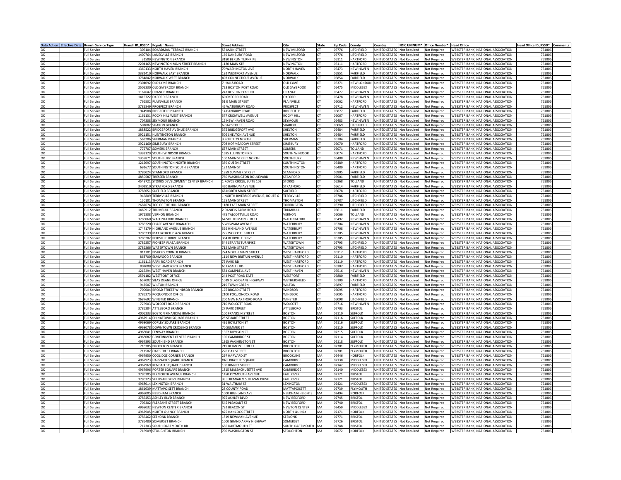|    | Data Action Effective Date Branch Service Type | Branch ID RSSD* Popular Name |                                                      | <b>Street Address</b>                     | City                      | <b>State</b>    | <b>Zip Code</b> | County                       | Country                                                  | FDIC UNINUM* Office Number* Head Office |                                                                          | Head Office ID RSSD* Comments |  |
|----|------------------------------------------------|------------------------------|------------------------------------------------------|-------------------------------------------|---------------------------|-----------------|-----------------|------------------------------|----------------------------------------------------------|-----------------------------------------|--------------------------------------------------------------------------|-------------------------------|--|
|    | <b>Full Service</b>                            |                              | 306104 BOARDMAN TERRACE BRANCH                       | 53 MAIN STREET                            | <b>NEW MILFORD</b>        | <b>CT</b>       | 06776           | <b>LITCHFIFLD</b>            | UNITED STATES Not Required Not Required                  |                                         | <b>WEBSTER BANK, NATIONAL ASSOCIATION</b>                                | 761806                        |  |
| OK | Full Service                                   |                              | 1400764 LANESVILLE BRANCH                            | <b>169 DANBURY ROAD</b>                   | <b>NEW MILFORD</b>        | СT              | 06776           | LITCHFIELD                   | UNITED STATES Not Required                               | <b>Not Required</b>                     | WEBSTER BANK, NATIONAL ASSOCIATION                                       | 761806                        |  |
| OK | <b>Full Service</b>                            |                              | 31509 NEWINGTON BRANCH                               | 3180 BERLIN TURNPIKE                      | NEWINGTON                 | <b>CT</b>       | 06111           | HARTFORD                     | UNITED STATES Not Required                               | Not Required                            | WEBSTER BANK, NATIONAL ASSOCIATION                                       | 76180                         |  |
| OK | <b>Full Service</b>                            |                              | 2204165 NEWINGTON MAIN STREET BRANCH                 | 1120 MAIN STR                             | <b>NEWINGTON</b>          | <b>CT</b>       | 06111           | HARTFORD                     | UNITED STATES Not Required                               |                                         | WEBSTER BANK, NATIONAL ASSOCIATION                                       | 76180                         |  |
| OK | Full Service                                   |                              | 1369133 NORTH HAVEN BRANCH                           | 70 WASHINGTON AVE                         | <b>NORTH HAVEN</b>        | <b>CT</b>       | 06473           | <b>NEW HAVEN</b>             | UNITED STATES Not Required                               | Not Required<br>Not Required            | WEBSTER BANK, NATIONAL ASSOCIATION                                       | 76180                         |  |
|    | <b>Full Service</b>                            |                              | 3381410 NORWALK EAST BRANCH                          | <b>192 WESTPORT AVENUE</b>                | <b>NORWALK</b>            | CT              | 06851           | <b>FAIRFIFID</b>             | UNITED STATES Not Required                               | Not Required                            | WEBSTER BANK, NATIONAL ASSOCIATION                                       | 76180                         |  |
| OK | Full Service                                   |                              | 3784842 NORWALK WEST BRANCH                          | <b>402 CONNECTICUT AVENUE</b>             | <b>IORWALK</b>            | <b>CT</b>       | 06854           | FAIRFIELD                    | UNITED STATES Not Required                               |                                         | WEBSTER BANK, NATIONAL ASSOCIATION                                       | 761806                        |  |
|    |                                                |                              |                                                      |                                           |                           | <b>CT</b>       |                 |                              |                                                          | Not Required                            |                                                                          | 76180                         |  |
|    | Full Service                                   |                              | 2304092 OLD LYME BRANCH                              | 7 HALLS ROAD                              | <b>OLD LYME</b>           |                 | 06371           | NEW LONDON                   | UNITED STATES Not Required                               | Not Required                            | WEBSTER BANK, NATIONAL ASSOCIATION                                       |                               |  |
|    | <b>Full Service</b>                            |                              | 2505330 OLD SAYBROOK BRANCH                          | 723 BOSTON POST ROAD                      | <b>OLD SAYBROOK</b>       | <b>CT</b>       | 06475           | MIDDLESEX                    | UNITED STATES Not Required                               | Not Required                            | WEBSTER BANK, NATIONAL ASSOCIATION                                       | 76180                         |  |
| OK | <b>Full Service</b>                            |                              | 1167647 ORANGE BRANCH                                | 247 BOSTON POST RD                        | ORANGE                    | <b>CT</b>       | 06477           | <b>NEW HAVEN</b>             | UNITED STATES Not Required                               | Not Required                            | WEBSTER BANK, NATIONAL ASSOCIATION                                       | 76180                         |  |
| OK | <b>Full Service</b>                            |                              | 1415722 OXFORD BRANCH                                | 60 OXFORD ROAD                            | <b>OXFORD</b>             | CT              | 06478           | NFW HAVFN                    | UNITED STATES Not Required                               | Not Required                            | WEBSTER BANK, NATIONAL ASSOCIATION                                       | 76180                         |  |
|    | Full Service                                   |                              | 766502 PLAINVILLE BRANCH                             | 51 E MAIN STREET                          | PLAINVILLE                | <b>CT</b>       | 06062           | HARTFORD                     | UNITED STATES Not Required                               | Not Required                            | WEBSTER BANK, NATIONAL ASSOCIATION                                       | 761806                        |  |
|    | <b>Full Service</b>                            |                              | 3785849 PROSPECT BRANCH                              | 45 WATERBURY ROAD                         | PROSPECT                  | <b>CT</b>       | 06712           | <b>NEW HAVEN</b>             | UNITED STATES Not Required                               | Not Required                            | WEBSTER BANK, NATIONAL ASSOCIATION                                       | 76180                         |  |
|    | <b>Full Service</b>                            |                              | 944908 RIDGEFIELD BRANCH                             | 14 DANBURY ROAD                           | RIDGEFIELD                | <b>CT</b>       | 06877           | <b>FAIRFIELD</b>             | UNITED STATES Not Required                               | Not Required                            | WEBSTER BANK, NATIONAL ASSOCIATION                                       | 761806                        |  |
|    | <b>Full Service</b>                            |                              | 1161131 ROCKY HILL WEST BRANCH                       | 377 CROMWELL AVENUE                       | <b>ROCKY HILL</b>         | <b>CT</b>       | 06067           | HARTFORD                     | UNITED STATES Not Required                               | Not Required                            | WEBSTER BANK, NATIONAL ASSOCIATION                                       | 76180                         |  |
|    | <b>Full Service</b>                            |                              | 704308 SEYMOUR BRANCH                                | 15 NEW HAVEN ROAD                         | SEYMOUR                   | CT              | 06483           | <b>NEW HAVEN</b>             | UNITED STATES Not Required                               | Not Required                            | WEBSTER BANK, NATIONAL ASSOCIATION                                       | 76180                         |  |
|    | Full Service                                   |                              | 501002 SHARON BRANCH                                 | GAY STREET                                | HARON                     | <b>CT</b>       | 06069           | LITCHFIELD                   | UNITED STATES Not Required                               | Not Required                            | WEBSTER BANK, NATIONAL ASSOCIATION                                       | 761806                        |  |
|    | Full Service                                   |                              | 1888522 BRIDGEPORT AVENUE BRANCH                     | 375 BRIDGEPORT AVE                        | SHELTON                   | <b>CT</b>       | 06484           | FAIRFIELD                    | UNITED STATES Not Required                               | Not Required                            | WEBSTER BANK, NATIONAL ASSOCIATION                                       | 76180                         |  |
|    | <b>Full Service</b>                            |                              | 3921151 HUNTINGTON BRANCH                            | 506 SHELTON AVENUE                        | SHELTON                   | <b>CT</b>       | 06484           | <b>FAIRFIELD</b>             | UNITED STATES Not Required                               | Not Required                            | WEBSTER BANK, NATIONAL ASSOCIATION                                       | 76180                         |  |
|    | <b>Full Service</b>                            |                              | 563206 SHERMAN BRANCH                                | 3 ROUTE 39 NORTH                          | SHERMAN                   | <b>CT</b>       | 06784           | FAIRFIELD                    | UNITED STATES Not Required                               | Not Required                            | WEBSTER BANK, NATIONAL ASSOCIATION                                       | 76180                         |  |
| OK | <b>Full Service</b>                            |                              | 3921160 SIMSBURY BRANCH                              | 708 HOPMEADOW STREET                      | SIMSBURY                  | <b>CT</b>       | 06070           | HARTFORD                     | UNITED STATES Not Required                               | Not Required                            | WEBSTER BANK, NATIONAL ASSOCIATION                                       | 76180                         |  |
|    | Full Service                                   |                              | 776707 SOMERS BRANCH                                 | <b>37 MAIN STREET</b>                     | SOMERS                    | CΤ              | 06071           | <b>TOLLAND</b>               | UNITED STATES Not Required                               | Not Required                            | WEBSTER BANK, NATIONAL ASSOCIATION                                       | 761806                        |  |
|    | <b>Full Service</b>                            |                              | 1393129 SOUTH WINDSOR BRANCH                         | 1695 ELLINGTON RD                         | SOUTH WINDSOR             | <b>CT</b>       | 06074           | HARTFORD                     | UNITED STATES Not Required                               | Not Required                            | WEBSTER BANK, NATIONAL ASSOCIATION                                       | 76180                         |  |
|    | <b>Full Service</b>                            |                              | 1359871 SOUTHBURY BRANCH                             | 100 MAIN STREET NORTH                     | SOUTHBURY                 | <b>CT</b>       | 06488           | <b>NEW HAVEN</b>             | UNITED STATES Not Required                               | Not Required                            | WEBSTER BANK, NATIONAL ASSOCIATION                                       | 76180                         |  |
|    | <b>Full Service</b>                            |                              | 1212097 SOUTHINGTON NORTH BRANCH                     | 359 QUEEN STREET                          | SOUTHINGTON               | <b>CT</b>       | 06489           | HARTFORD                     | UNITED STATES Not Required                               | Not Required                            | WEBSTER BANK, NATIONAL ASSOCIATION                                       | 76180                         |  |
|    | <b>Full Service</b>                            |                              | 691677 SOUTHINGTON SOUTH BRANCH                      | 132 MAIN ST                               | SOUTHINGTON               | CT              | 06489           | HARTFORD                     | UNITED STATES Not Required                               | <b>Not Required</b>                     | WEBSTER BANK, NATIONAL ASSOCIATION                                       | 76180                         |  |
|    | Full Service                                   |                              | 3786024 STAMFORD BRANCH                              | 1959 SUMMER STREET                        | <b>STAMFORD</b>           | CT              | 06905           | FAIRFIELD                    | UNITED STATES Not Required                               | Not Required                            | WEBSTER BANK, NATIONAL ASSOCIATION                                       | 761806                        |  |
|    | Full Service                                   |                              | 4859587 TRESSER BRANCH                               | 760 WASHINGTON BOULEVARD                  | STAMFORD                  | <b>CT</b>       | 06901           | FAIRFIELD                    | UNITED STATES Not Required                               | Not Required                            | WEBSTER BANK, NATIONAL ASSOCIATION                                       | 76180                         |  |
|    | <b>Full Service</b>                            |                              | 4549721 STORRS DEVELOPMENT CENTER BRANCH             | 1 ROYCE CIRCLE, SUITE 102                 | <b>STORRS</b>             | CT              | 06268           | <b>TOLLAND</b>               | UNITED STATES Not Required                               | Not Required                            | WEBSTER BANK, NATIONAL ASSOCIATION                                       | 76180                         |  |
|    | <b>Full Service</b>                            |                              | 3402810 STRATFORD BRANCH                             | 450 BARNUM AVENUE                         | <b>STRATFORD</b>          | <b>CT</b>       | 06614           | FAIRFIELD                    | UNITED STATES Not Required                               | Not Required                            | WEBSTER BANK, NATIONAL ASSOCIATION                                       | 76180                         |  |
| OK | <b>Full Service</b>                            |                              | 3786051 SUFFIELD BRANCH                              | <b>66 NORTH MAIN STREET</b>               | SUFFIELD                  | <b>CT</b>       | 06078           | <b>HARTFORD</b>              | UNITED STATES Not Required                               | Not Required                            | WEBSTER BANK, NATIONAL ASSOCIATION                                       | 761806                        |  |
|    | <b>Full Service</b>                            |                              | 946809 TERRYVILLE BRANCH                             | 1 NORTH RIVERSIDE AVENUE, ROUTE 6         | TERRYVILLE                | СT              | 06786           | <b>LITCHFIELD</b>            | UNITED STATES Not Required                               | Not Required                            | WEBSTER BANK, NATIONAL ASSOCIATION                                       | 761806                        |  |
|    | Full Service                                   |                              | 150101 THOMASTON BRANCH                              | 155 MAIN STREET                           | <b>HOMASTON</b>           | <b>CT</b>       | 06787           | LITCHFIELD                   | UNITED STATES Not Required                               | Not Required                            | WEBSTER BANK, NATIONAL ASSOCIATION                                       | 76180                         |  |
|    | <b>Full Service</b>                            |                              | 2687674 TOP OF THE HILL BRANCH                       | 1180 FAST MAIN STREET                     | <b><i>TORRINGTON</i></b>  | <b>CT</b>       | 06790           | <b>ITCHFIFID</b>             | UNITED STATES Not Required                               | Not Required                            | WEBSTER BANK, NATIONAL ASSOCIATION                                       | 76180                         |  |
|    | Full Service                                   |                              | 1469912 TRUMBULL BRANCH                              | 2 DANIELS FARM ROAD                       | <b>RUMBULL</b>            | <b>CT</b>       | 06611           | FAIRFIELD                    | UNITED STATES Not Required                               | Not Required                            | WEBSTER BANK, NATIONAL ASSOCIATION                                       | 76180                         |  |
|    | <b>Full Service</b>                            |                              | 1971808 VERNON BRANCH                                | 475 TALCOTTVILLE ROAD                     | VERNON                    | CT              | 06066           | TOLLAND                      | UNITED STATES Not Required                               | Not Required                            | WEBSTER BANK, NATIONAL ASSOCIATION                                       | 76180                         |  |
|    | Full Service                                   |                              | 3786060 WALLINGFORD BRANCH                           | 64 SOUTH MAIN STREET                      | VALLINGFORD               | <b>CT</b>       | 6492            | <b>NEW HAVEN</b>             | UNITED STATES Not Required                               | Not Required                            | WEBSTER BANK, NATIONAL ASSOCIATION                                       | 761806                        |  |
|    | Full Service                                   |                              | 3786220 CHASE AVENUE BRANACH                         | 5 WIGWAM AVENUE                           | WATERBURY                 | <b>CT</b>       | 06704           | <b>NEW HAVEN</b>             | UNITED STATES Not Required                               | Not Required                            | WEBSTER BANK, NATIONAL ASSOCIATION                                       | 76180                         |  |
|    | <b>Full Service</b>                            |                              | 1747179 HIGHI AND AVENUE BRANCH                      | 326 HIGHLAND AVENUE                       | <b>WATERBURY</b>          | <b>CT</b>       | 06708           | <b>NFW HAVFN</b>             | UNITED STATES Not Required                               | Not Required                            | WEBSTER BANK, NATIONAL ASSOCIATION                                       | 76180                         |  |
|    | <b>Full Service</b>                            |                              | 3786239 MATTATUCK PLAZA BRANCH                       | 725 WOLCOTT STREET                        | WATERBURY                 | <b>CT</b>       | 06705           | NEW HAVEN                    | UNITED STATES Not Required                               | Not Required                            | WEBSTER BANK, NATIONAL ASSOCIATION                                       | 76180                         |  |
| OK | <b>Full Service</b>                            |                              | 3786202 REIDVILLE DRIVE BRANCH                       | <b>364 REIDVILLE DRIVE</b>                | WATERBURY                 | CT              | 06705           | NFW HAVFN                    | UNITED STATES Not Required                               | Not Required                            | WEBSTER BANK, NATIONAL ASSOCIATION                                       | 76180                         |  |
|    | <b>Full Service</b>                            |                              | 3786257 PIONEER PLAZA BRANCH                         | <b>544 STRAITS TURNPIKE</b>               | WATERTOWN                 | <b>CT</b>       | 06795           | <b>LITCHFIELD</b>            | UNITED STATES Not Required                               | Not Required                            | WEBSTER BANK, NATIONAL ASSOCIATION                                       | 761806                        |  |
|    | Full Service                                   |                              | 3786266 WATERTOWN BRANCH                             | 712 MAIN STREET                           | WATERTOWN                 | <b>CT</b>       | 06795           | LITCHFIELD                   | UNITED STATES Not Required                               | Not Required                            | WEBSTER BANK, NATIONAL ASSOCIATION                                       | 76180                         |  |
|    | <b>Full Service</b>                            |                              | 811701 BISHOPS CORNER BRANCH                         | <b>774 NORTH MAIN STREET</b>              | <b>WEST HARTFORD</b>      | CT              | 06117           | HARTFORD                     | UNITED STATES Not Required                               | Not Required                            | WEBSTER BANK, NATIONAL ASSOCIATION                                       | 76180                         |  |
|    | Full Service                                   |                              | 863700 ELMWOOD BRANCH                                | 1114 NEW BRITAIN AVENUE                   | <b>WEST HARTFORD</b>      | <b>CT</b>       | 06110           | HARTFORD                     | UNITED STATES Not Required                               | Not Required                            | WEBSTER BANK, NATIONAL ASSOCIATION                                       | 76180                         |  |
|    | <b>Full Service</b>                            |                              | 1161113 PARK ROAD BRANCH                             | 75 PARK RD                                | <b>WEST HARTFORD</b>      | CT              | 06119           | <b>HARTFORD</b>              | UNITED STATES Not Required                               | Not Required                            | WEBSTER BANK, NATIONAL ASSOCIATION                                       | 76180                         |  |
|    | Full Service                                   |                              | 802008 WEST HARTFORD BRANCH                          | <b>65 LASALLE RD</b>                      | <b>WEST HARTFORD</b>      | <b>CT</b>       | 06107           | HARTFORD                     | UNITED STATES Not Required                               | Not Required                            | WEBSTER BANK, NATIONAL ASSOCIATION                                       | 76180                         |  |
|    | Full Service                                   |                              | 1215294 WEST HAVEN BRANCH                            | 584 CAMPBELL AVE                          | WEST HAVEN                | <b>CT</b>       | 06516           | <b>NEW HAVEN</b>             | UNITED STATES Not Required                               | Not Required                            | WEBSTER BANK, NATIONAL ASSOCIATION                                       | 76180                         |  |
|    | <b>Full Service</b>                            |                              | 2591182 WESTPORT OFFICE                              | 244 POST ROAD FAST                        | WESTPORT                  | <b>CT</b>       | 06880           | <b>FAIRFIFID</b>             | UNITED STATES Not Required                               | Not Required                            | WEBSTER BANK, NATIONAL ASSOCIATION                                       | 76180                         |  |
| OK | <b>Full Service</b>                            |                              | 657002 SILAS DEANE OFFICE                            | 1039 SILAS DEANE HIGHWAY                  | WETHERSFIELD              | <b>CT</b>       | 06109           | HARTFORD                     | UNITED STATES Not Required                               |                                         | WEBSTER BANK, NATIONAL ASSOCIATION                                       | 76180                         |  |
|    | <b>Full Service</b>                            |                              | 947507 WILTON BRANCH                                 | 219 TOWN GREEN                            | <b>WILTON</b>             | CT              | 06897           | FAIRFIELD                    |                                                          | Not Required<br>Not Required            | WEBSTER BANK, NATIONAL ASSOCIATION                                       | 76180                         |  |
| OK | Full Service                                   |                              | 709004 BROAD STREET WINDSOR BRANCH                   | 176 BROAD STREET                          | WINDSOR                   | <b>CT</b>       | 06095           | HARTFORD                     | UNITED STATES Not Required<br>UNITED STATES Not Required | Not Required                            | WEBSTER BANK, NATIONAL ASSOCIATION                                       | 761806                        |  |
|    |                                                |                              |                                                      |                                           |                           |                 |                 |                              |                                                          |                                         |                                                                          |                               |  |
|    | Full Service                                   |                              | 3786275 POQUONOCK OFFICE                             | 2100 POQUONOCK ROAD                       | WINDSOR                   | CT<br><b>CT</b> | 06095           | HARTFORD<br><b>ITCHFIFID</b> | UNITED STATES Not Required                               | Not Required                            | WEBSTER BANK, NATIONAL ASSOCIATION                                       | 76180<br>76180                |  |
|    | <b>Full Service</b><br>Full Service            |                              | 2687692 WINSTED BRANCH<br>776903 WOLCOTT ROAD BRANCH | 200 NEW HARTFORD ROAD<br>710 WOLCOTT ROAD | <b>WINSTED</b><br>WOLCOTT | <b>CT</b>       | 88080<br>06716  | <b>NEW HAVEN</b>             | UNITED STATES Not Required                               | Not Required                            | WEBSTER BANK, NATIONAL ASSOCIATION<br>WEBSTER BANK, NATIONAL ASSOCIATION | 76180                         |  |
|    |                                                |                              |                                                      |                                           |                           |                 |                 |                              | UNITED STATES Not Required                               | Not Required                            |                                                                          |                               |  |
|    | <b>Full Service</b>                            |                              | 3786284 ATTLEBORO BRANCH                             | 27 PARK STREET                            | <b>ATTLEBORO</b>          | MA              | 02703           | BRISTOL                      | UNITED STATES Not Required                               | Not Required                            | WEBSTER BANK, NATIONAL ASSOCIATION                                       | 76180                         |  |
|    | Full Service                                   |                              | 4006233 BOSTON FINANCIAL BRANCH                      | 100 FRANKLIN STREET                       | BOSTON                    | MA              | 2110            | <b>SUFFOLK</b>               | UNITED STATES Not Required                               | Not Required                            | WEBSTER BANK, NATIONAL ASSOCIATION                                       | 76180                         |  |
|    | Full Service                                   |                              | 4967914 CHINATOWN SQUARE BRANCH                      | 25 STUART STREET                          | <b>BOSTON</b>             | MA              | 02116           | SUFFOLK                      | UNITED STATES Not Required                               | Not Required                            | WEBSTER BANK, NATIONAL ASSOCIATION                                       | 76180                         |  |
|    | <b>Full Service</b>                            |                              | 4968069 COPLEY SOUARE BRANCH                         | 491 BOYLSTON ST                           | <b>BOSTON</b>             | MA              | 02116           | <b>SUFFOLK</b>               | UNITED STATES Not Required                               | Not Required                            | WEBSTER BANK, NATIONAL ASSOCIATION                                       | 76180                         |  |
| OK | <b>Full Service</b>                            |                              | 4968078 DOWNTOWN CROSSING BRANCH                     | 70 SUMMER ST                              | <b>BOSTON</b>             | MA              | 02110           | <b>SUFFOLK</b>               | UNITED STATES Not Required                               | Not Required                            | WEBSTER BANK, NATIONAL ASSOCIATION                                       | 76180                         |  |
| OK | <b>Full Service</b>                            |                              | 4968041 FENWAY BRANCH                                | 1367 BOYLSON ST                           | <b>BOSTON</b>             | MA              | 02215           | <b>SUFFOLK</b>               | UNITED STATES Not Required                               | Not Required                            | WEBSTER BANK, NATIONAL ASSOCIATION                                       | 76180                         |  |
|    | <b>Full Service</b>                            |                              | 4968087 GOVERNMENT CENTER BRANCH                     | 100 CAMBRIDGE ST                          | <b>BOSTON</b>             | MA              | 02114           | <b>SUFFOLK</b>               | UNITED STATES Not Required                               | Not Required                            | WEBSTER BANK, NATIONAL ASSOCIATION                                       | 761806                        |  |
|    | Full Service                                   |                              | 4967893 SOUTH END BRANCH                             | 1365 WASHINGTON ST                        | <b>BOSTON</b>             | MA              | 02118           | <b>SUFFOLK</b>               | UNITED STATES Not Required                               | Not Required                            | WEBSTER BANK, NATIONAL ASSOCIATION                                       | 76180                         |  |
|    | <b>Full Service</b>                            |                              | 718305 BROCKTON BRANCH                               | <b>719 BELMONT STREET</b>                 | <b>BROCKTON</b>           | MA              | 02301           | <b>PI YMOUTH</b>             | UNITED STATES Not Required                               | Not Required                            | WEBSTER BANK, NATIONAL ASSOCIATION                                       | 76180                         |  |
|    | Full Service                                   |                              | 711502 OAK STREET BRANCH                             | 220 OAK STREET                            | <b>BROCKTON</b>           | MA              | 02301           | PLYMOUTH                     | UNITED STATES Not Required                               | Not Required                            | WEBSTER BANK, NATIONAL ASSOCIATION                                       | 76180                         |  |
|    | <b>Full Service</b>                            |                              | 4967950 COOLIDGE CORNER BRANCH                       | 297 HARVARD ST                            | <b>BROOKLINE</b>          | MA              | 02446           | <b>NORFOLK</b>               | UNITED STATES Not Required                               | Not Required                            | WEBSTER BANK, NATIONAL ASSOCIATION                                       | 76180                         |  |
|    | Full Service                                   |                              | 4967923 HARVARD SQUARE BRANCH                        | ONE BRATTLE SQUARE                        | <b>AMBRIDGE</b>           | MA              | 2138            | MIDDLESEX                    | UNITED STATES Not Required                               | Not Required                            | WEBSTER BANK, NATIONAL ASSOCIATION                                       | 76180                         |  |
|    | Full Service                                   |                              | 4967969 KENDALL SQUARE BRANCH                        | 100 BINNEY STREET                         | CAMBRIDGE                 | MA              | 02142           | MIDDLESEX                    | UNITED STATES Not Required                               | Not Required                            | WEBSTER BANK, NATIONAL ASSOCIATION                                       | 76180                         |  |
|    | <b>Full Service</b>                            |                              | 4967996 PORTER SOUARE BRANCH                         | 1815 MASSACHUSETTS AVE                    | CAMBRIDGE                 | MA              | 02140           | <b>MIDDI ESEX</b>            | UNITED STATES Not Required                               | Not Required                            | WEBSTER BANK, NATIONAL ASSOCIATION                                       | 76180                         |  |
| OK | <b>Full Service</b>                            |                              | 3786305 PLYMOUTH AVENUE BRANCH                       | 1450 PLYMOUTH AVENUE                      | <b>FALL RIVER</b>         | MA              | 02721           | <b>BRISTOL</b>               | UNITED STATES Not Required                               | <b>Not Required</b>                     | WEBSTER BANK, NATIONAL ASSOCIATION                                       | 76180                         |  |
| OK | <b>Full Service</b>                            |                              | 3786323 SULLIVAN DRIVE BRANCH                        | 33 JEREMIAH V SULLIVAN DRIVE              | <b>FALL RIVER</b>         | MA              | 02721           | <b>BRISTOL</b>               | UNITED STATES Not Required                               | Not Required                            | WEBSTER BANK, NATIONAL ASSOCIATION                                       | 76180                         |  |
|    | <b>Full Service</b>                            |                              | 4968014 LEXINGTON BRANCH                             | 31 WALTHAM ST                             | LEXINGTON                 | MA              | 02421           | MIDDLESEX                    | UNITED STATES Not Required                               | Not Required                            | WEBSTER BANK, NATIONAL ASSOCIATION                                       | 761806                        |  |
|    | Full Service                                   |                              | 1861039 MATTAPOISETT BRANCH                          | 28 COUNTY ROAD                            | MATTAPOISETT              | MA              | 02739           | PLYMOUTH                     | UNITED STATES Not Required                               | Not Required                            | WEBSTER BANK, NATIONAL ASSOCIATION                                       | 76180                         |  |
|    | <b>Full Service</b>                            |                              | 4968005 NFFDHAM BRANCH                               | 1000 HIGHLAND AVE                         | <b>NFFDHAM HEIGHTS</b>    | MA              | 02494           | NORFOLK                      | UNITED STATES Not Required                               | Not Required                            | WEBSTER BANK, NATIONAL ASSOCIATION                                       | 76180                         |  |
|    | Full Service                                   |                              | 3786453 ASHLEY BLVD BRANCH                           | 975 ASHLEY BLVD                           | <b>NEW BEDFORD</b>        | MA              | 02745           | <b>BRISTOL</b>               | UNITED STATES Not Required                               | Not Required                            | WEBSTER BANK, NATIONAL ASSOCIATION                                       | 76180                         |  |
|    | <b>Full Service</b>                            |                              | 706302 PLEASANT STREET BRANCH                        | 545 PLEASANT ST                           | NEW BEDFORD               | MA              | 02740           | BRISTOL                      | UNITED STATES Not Required                               | Not Required                            | WEBSTER BANK, NATIONAL ASSOCIATION                                       | 76180                         |  |
|    | Full Service                                   |                              | 4968032 NEWTON CENTER BRANCH                         | 792 BEACON ST                             | <b>NEWTON CENTER</b>      | MA              | 2459            | MIDDLESEX                    | UNITED STATES Not Required                               | Not Required                            | WEBSTER BANK, NATIONAL ASSOCIATION                                       | 76180                         |  |
|    | Full Service                                   |                              | 4967905 NORTH QUINCY BRANCH                          | 475 HANCOCK STREET                        | NORTH QUINCY              | MA              | 02171           | NORFOLK                      | UNITED STATES Not Required                               | Not Required                            | WEBSTER BANK, NATIONAL ASSOCIATION                                       | 76180                         |  |
| OK | <b>Full Service</b>                            |                              | 3786462 SEEKONK BRANCH                               | <b>1519 NEWMAN AVENUE</b>                 | <b>SFFKONK</b>            | MA              | 02771           | <b>BRISTOL</b>               | UNITED STATES Not Required                               | Not Required                            | WEBSTER BANK, NATIONAL ASSOCIATION                                       | 76180                         |  |
| OK | <b>Full Service</b>                            |                              | 3786480 SOMERSET BRANCH                              | 1000 GRAND ARMY HIGHWAY                   | SOMERSET                  | MA              | 02726           | <b>BRISTO</b>                | UNITED STATES Not Required                               | Not Required                            | WEBSTER BANK, NATIONAL ASSOCIATION                                       | 76180                         |  |
| OK | <b>Full Service</b>                            |                              | 712303 SOUTH DARTMOUTH BR                            | <b>686 DARTMOUTH ST</b>                   | SOUTH DARTMOUTH MA        |                 | 02748           | <b>BRISTOI</b>               |                                                          | UNITED STATES Not Required Not Required | WEBSTER BANK, NATIONAL ASSOCIATION                                       | 76180                         |  |
|    | <b>Full Service</b>                            |                              | 716909 STOUGHTON BRANCH                              | 700 WASHINGTON ST                         | <b>STOUGHTON</b>          | MA              | 02072           | NORFOLK                      | UNITED STATES Not Required                               | Not Required                            | WEBSTER BANK, NATIONAL ASSOCIATION                                       | 761806                        |  |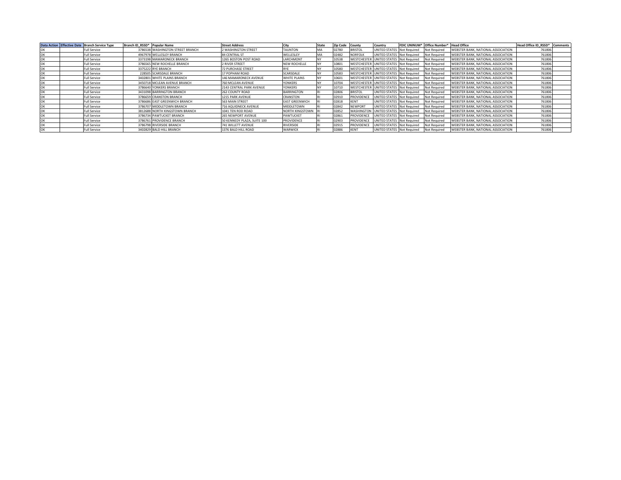|    | Data Action Effective Date Branch Service Type |                     | Branch ID RSSD* Popular Name |                                  | <b>Street Address</b>       |                       | State     | <b>Zip Code</b> | County         | Country                                |                     | FDIC UNINUM* Office Number* Head Office |                                           | Head Office ID RSSD* | Comments |
|----|------------------------------------------------|---------------------|------------------------------|----------------------------------|-----------------------------|-----------------------|-----------|-----------------|----------------|----------------------------------------|---------------------|-----------------------------------------|-------------------------------------------|----------------------|----------|
|    |                                                | <b>Full Service</b> |                              | 3786538 WASHINGTON STREET BRANCH | 2 WASHINGTON STREET         | <b>TAUNTON</b>        | MA        | 02780           | <b>BRISTOL</b> | UNITED STATES                          | <b>Not Required</b> | Not Required                            | WEBSTER BANK, NATIONAL ASSOCIATION        | 761806               |          |
| OK |                                                | <b>Full Service</b> |                              | 4967978 WELLESLEY BRANCH         | 84 CENTRAL ST               | WELLESLEY             | MA        | 02482           | <b>NORFOLK</b> | UNITED STATES                          | <b>Not Required</b> | Not Required                            | WEBSTER BANK, NATIONAL ASSOCIATION        | 761806               |          |
| OK |                                                | <b>Full Service</b> |                              | 3373198 MAMARONECK BRANCH        | 1265 BOSTON POST ROAD       | LARCHMONT             |           | 10538           |                | WESTCHESTER UNITED STATES Not Required |                     | Not Required                            | WEBSTER BANK, NATIONAL ASSOCIATION        | 761806               |          |
|    |                                                | <b>Full Service</b> |                              | 3786565 NEW ROCHELLE BRANCH      | 2 RIVER STREET              | NEW ROCHELLE          |           | 10801           |                | WESTCHESTER UNITED STATES Not Required |                     | Not Required                            | WEBSTER BANK, NATIONAL ASSOCIATION        | 761806               |          |
| OK |                                                | <b>Full Service</b> |                              | 3375222 RYE BRANCH               | <b>72 PURCHASE STREET</b>   | RYF                   |           | 10580           |                | WESTCHESTER UNITED STATES Not Required |                     | Not Required                            | WEBSTER BANK, NATIONAL ASSOCIATION        | 761806               |          |
| OK |                                                | <b>Full Service</b> |                              | 228505 SCARSDALE BRANCH          | 17 POPHAM ROAD              | SCARSDALE             |           | 10583           |                | WESTCHESTER UNITED STATES Not Required |                     | Not Required                            | WEBSTER BANK, NATIONAL ASSOCIATION        | 761806               |          |
| OK |                                                | <b>Full Service</b> |                              | 3402801 WHITE PLAINS BRANCH      | 146 MAMARONECK AVENUE       | WHITE PLAINS          | <b>NY</b> | 10601           |                | WESTCHESTER UNITED STATES Not Required |                     | Not Required                            | WEBSTER BANK, NATIONAL ASSOCIATION        | 761806               |          |
| OK |                                                | <b>Full Service</b> |                              | 3450718 MCLEAN AVENUE BRANCH     | 760 MCLEAN AVENUE           | YONKERS               |           | 10704           |                | WESTCHESTER UNITED STATES Not Required |                     | Not Required                            | WEBSTER BANK, NATIONAL ASSOCIATION        | 761806               |          |
| OK |                                                | <b>Full Service</b> |                              | 3786640 YONKERS BRANCH           | 2143 CENTRAL PARK AVENUE    | <b>YONKERS</b>        |           | 10710           |                | WESTCHESTER UNITED STATES Not Required |                     | <b>Not Required</b>                     | WEBSTER BANK, NATIONAL ASSOCIATION        | 761806               |          |
| OK |                                                | <b>Full Service</b> |                              | 3431098 BARRINGTON BRANCH        | 262 COUNTY ROAD             | <b>BARRINGTON</b>     |           | 02806           | <b>BRISTOL</b> | UNITED STATES Not Required             |                     | Not Required                            | WEBSTER BANK, NATIONAL ASSOCIATION        | 761806               |          |
|    |                                                | <b>Full Service</b> |                              | 3786659 CRANSTON BRANCH          | 1215 PARK AVENUE            | CRANSTON              |           | 02910           | PROVIDENCE     | UNITED STATES Not Required             |                     | Not Required                            | WEBSTER BANK, NATIONAL ASSOCIATION        | 761806               |          |
|    |                                                | <b>Full Service</b> |                              | 3786686 EAST GREENWICH BRANCH    | 563 MAIN STREET             | <b>EAST GREENWICH</b> |           | 02818           | <b>KENT</b>    | <b>UNITED STATES Not Required</b>      |                     | Not Required                            | <b>WEBSTER BANK, NATIONAL ASSOCIATION</b> | 761806               |          |
|    |                                                | <b>Full Service</b> |                              | 3786707 MIDDLETOWN BRANCH        | 716 AQUIDNECK AVENUE        | MIDDLETOWN            |           | 02842           | <b>NEWPORT</b> | UNITED STATES Not Required             |                     | Not Required                            | WEBSTER BANK, NATIONAL ASSOCIATION        | 761806               |          |
|    |                                                | <b>Full Service</b> |                              | 3812688 NORTH KINGSTOWN BRANCH   | 1041 TEN ROD ROAD           | NORTH KINGSTOWN R     |           | 02852           |                | WASHINGTON UNITED STATES Not Required  |                     | Not Required                            | WEBSTER BANK, NATIONAL ASSOCIATION        | 761806               |          |
|    |                                                | <b>Full Service</b> |                              | 3786734 PAWTUCKET BRANCH         | 265 NEWPORT AVENUE          | PAWTUCKET             |           | 02861           | PROVIDENCE     | UNITED STATES Not Required             |                     | Not Required                            | WEBSTER BANK, NATIONAL ASSOCIATION        | 761806               |          |
|    |                                                | <b>Full Service</b> |                              | 3786761 PROVIDENCE BRANCH        | 50 KENNEDY PLAZA, SUITE 100 | PROVIDENCE            |           | 02903           | PROVIDENCE     | UNITED STATES Not Required             |                     | Not Required                            | WEBSTER BANK, NATIONAL ASSOCIATION        | 761806               |          |
| OK |                                                | <b>Full Service</b> |                              | 3786798 RIVERSIDE BRANCH         | 741 WILLETT AVENUE          | <b>RIVERSIDE</b>      |           | 02915           | PROVIDENCE     | UNITED STATES Not Required             |                     | Not Required                            | WEBSTER BANK, NATIONAL ASSOCIATION        | 761806               |          |
| OK |                                                | <b>Full Service</b> |                              | 3402829 BALD HILL BRANCH         | 1376 BALD HILL ROAD         | WARWICK               |           | 02886           | KENT           | UNITED STATES Not Required             |                     | Not Required                            | WEBSTER BANK, NATIONAL ASSOCIATION        | 761806               |          |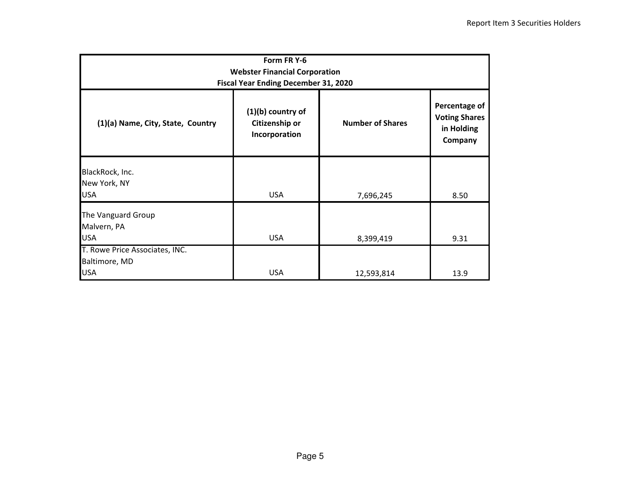| Form FR Y-6<br><b>Webster Financial Corporation</b><br>Fiscal Year Ending December 31, 2020 |                                                        |                         |                                                                |  |  |  |  |  |  |  |
|---------------------------------------------------------------------------------------------|--------------------------------------------------------|-------------------------|----------------------------------------------------------------|--|--|--|--|--|--|--|
| (1)(a) Name, City, State, Country                                                           | $(1)(b)$ country of<br>Citizenship or<br>Incorporation | <b>Number of Shares</b> | Percentage of<br><b>Voting Shares</b><br>in Holding<br>Company |  |  |  |  |  |  |  |
| BlackRock, Inc.<br>New York, NY<br><b>USA</b>                                               | <b>USA</b>                                             | 7,696,245               | 8.50                                                           |  |  |  |  |  |  |  |
| The Vanguard Group<br>Malvern, PA<br><b>USA</b>                                             | <b>USA</b>                                             | 8,399,419               | 9.31                                                           |  |  |  |  |  |  |  |
| T. Rowe Price Associates, INC.<br>Baltimore, MD<br><b>USA</b>                               | <b>USA</b>                                             | 12,593,814              | 13.9                                                           |  |  |  |  |  |  |  |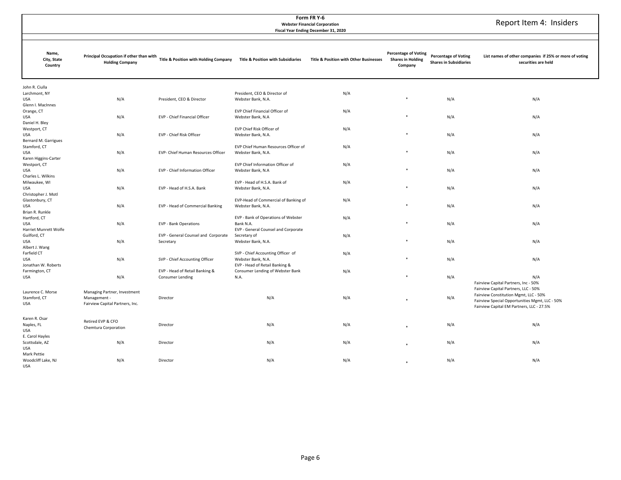|                                                               | Report Item 4: Insiders                                                         |                                                           |                                                                                           |                                        |                                     |                               |                                                                                                                                                                              |
|---------------------------------------------------------------|---------------------------------------------------------------------------------|-----------------------------------------------------------|-------------------------------------------------------------------------------------------|----------------------------------------|-------------------------------------|-------------------------------|------------------------------------------------------------------------------------------------------------------------------------------------------------------------------|
| Name,                                                         | Principal Occupation if other than with                                         |                                                           |                                                                                           |                                        | <b>Percentage of Voting</b>         | <b>Percentage of Voting</b>   | List names of other companies if 25% or more of voting                                                                                                                       |
| City, State<br>Country                                        | <b>Holding Company</b>                                                          | Title & Position with Holding Company                     | <b>Title &amp; Position with Subsidiaries</b>                                             | Title & Position with Other Businesses | <b>Shares in Holding</b><br>Company | <b>Shares in Subsidiaries</b> | securities are held                                                                                                                                                          |
| John R. Ciulla<br>Larchmont, NY<br>USA                        | N/A                                                                             | President, CEO & Director                                 | President, CEO & Director of<br>Webster Bank, N.A.                                        | N/A                                    |                                     | N/A                           | N/A                                                                                                                                                                          |
| Glenn I. MacInnes<br>Orange, CT<br><b>USA</b>                 | N/A                                                                             | EVP - Chief Financial Officer                             | EVP Chief Financial Officer of<br>Webster Bank, N.A                                       | N/A                                    |                                     | N/A                           | N/A                                                                                                                                                                          |
| Daniel H. Bley<br>Westport, CT<br>USA<br>Bernard M. Garrigues | N/A                                                                             | EVP - Chief Risk Officer                                  | EVP Chief Risk Officer of<br>Webster Bank, N.A.                                           | N/A                                    | ×                                   | N/A                           | N/A                                                                                                                                                                          |
| Stamford, CT<br>USA<br>Karen Higgins-Carter                   | N/A                                                                             | EVP- Chief Human Resources Officer                        | EVP Chief Human Resources Officer of<br>Webster Bank, N.A.                                | N/A                                    |                                     | N/A                           | N/A                                                                                                                                                                          |
| Westport, CT<br>USA<br>Charles L. Wilkins                     | N/A                                                                             | EVP - Chief Information Officer                           | EVP Chief Information Officer of<br>Webster Bank, N.A                                     | N/A                                    |                                     | N/A                           | N/A                                                                                                                                                                          |
| Milwaukee, WI<br>USA<br>Christopher J. Motl                   | N/A                                                                             | EVP - Head of H.S.A. Bank                                 | EVP - Head of H.S.A. Bank of<br>Webster Bank, N.A.                                        | N/A                                    |                                     | N/A                           | N/A                                                                                                                                                                          |
| Glastonbury, CT<br>USA<br>Brian R. Runkle                     | N/A                                                                             | EVP - Head of Commercial Banking                          | EVP-Head of Commercial of Banking of<br>Webster Bank, N.A.                                | N/A                                    |                                     | N/A                           | N/A                                                                                                                                                                          |
| Hartford, CT<br>USA<br>Harriet Munrett Wolfe                  | N/A                                                                             | <b>EVP - Bank Operations</b>                              | EVP - Bank of Operations of Webster<br>Bank N.A.<br>EVP - General Counsel and Corporate   | N/A                                    |                                     | N/A                           | N/A                                                                                                                                                                          |
| Guilford, CT<br>USA<br>Albert J. Wang                         | N/A                                                                             | EVP - General Counsel and Corporate<br>Secretary          | Secretary of<br>Webster Bank, N.A.                                                        | N/A                                    |                                     | N/A                           | N/A                                                                                                                                                                          |
| Farfield CT<br>USA<br>Jonathan W. Roberts                     | N/A                                                                             | SVP - Chief Accounting Officer                            | SVP - Chief Accounting Officer of<br>Webster Bank, N.A.<br>EVP - Head of Retail Banking & | N/A                                    | ×                                   | N/A                           | N/A                                                                                                                                                                          |
| Farmington, CT<br>USA                                         | N/A                                                                             | EVP - Head of Retail Banking &<br><b>Consumer Lending</b> | Consumer Lending of Webster Bank<br>N.A.                                                  | N/A                                    | ×                                   | N/A                           | N/A<br>Fairview Capital Partners, Inc - 50%                                                                                                                                  |
| Laurence C. Morse<br>Stamford, CT<br>USA                      | Managing Partner, Investment<br>Management -<br>Fairview Capital Partners, Inc. | Director                                                  | N/A                                                                                       | N/A                                    |                                     | N/A                           | Fairview Capital Partners, LLC - 50%<br>Fairview Constitution Mgmt, LLC - 50%<br>Fairview Special Opportunities Mgmt, LLC - 50%<br>Fairview Capital EM Partners, LLC - 27.5% |
| Karen R. Osar<br>Naples, FL<br>USA                            | Retired EVP & CFO<br>Chemtura Corporation                                       | Director                                                  | N/A                                                                                       | N/A                                    |                                     | N/A                           | N/A                                                                                                                                                                          |
| E. Carol Hayles<br>Scottsdale, AZ<br>USA<br>Mark Pettie       | N/A                                                                             | Director                                                  | N/A                                                                                       | N/A                                    |                                     | N/A                           | N/A                                                                                                                                                                          |

\*

\* N/A N/A

N/A Director **Director** and the N/A N/A N/A N/A

 Woodcliff Lake, NJ USA